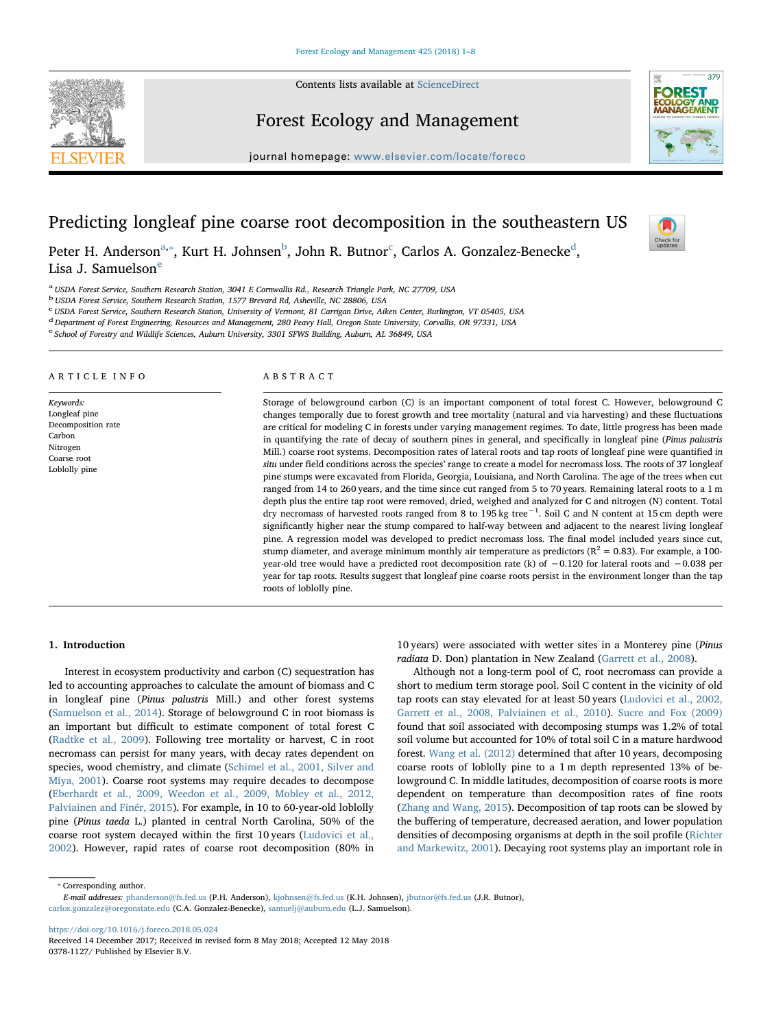Contents lists available at [ScienceDirect](http://www.sciencedirect.com/science/journal/03781127)



# Forest Ecology and Management



journal homepage: [www.elsevier.com/locate/foreco](https://www.elsevier.com/locate/foreco)

# Predicting longleaf pine coarse root decomposition in the southeastern US



Peter H. Anderson<sup>[a,](#page-0-0)</sup>\*, Kurt H. Johnsen<sup>[b](#page-0-2)</sup>, John R. Butnor<sup>[c](#page-0-3)</sup>, Carlos A. Gonzalez-Benecke<sup>[d](#page-0-4)</sup>, Lisa J. Samu[e](#page-0-5)lson $<sup>e</sup>$ </sup>

<span id="page-0-0"></span><sup>a</sup> USDA Forest Service, Southern Research Station, 3041 E Cornwallis Rd., Research Triangle Park, NC 27709, USA

<span id="page-0-2"></span><sup>b</sup> USDA Forest Service, Southern Research Station, 1577 Brevard Rd, Asheville, NC 28806, USA

<span id="page-0-3"></span>c USDA Forest Service, Southern Research Station, University of Vermont, 81 Carrigan Drive, Aiken Center, Burlington, VT 05405, USA

<span id="page-0-4"></span><sup>d</sup> Department of Forest Engineering, Resources and Management, 280 Peavy Hall, Oregon State University, Corvallis, OR 97331, USA

<span id="page-0-5"></span><sup>e</sup> School of Forestry and Wildlife Sciences, Auburn University, 3301 SFWS Building, Auburn, AL 36849, USA

#### ARTICLE INFO

Keywords: Longleaf pine Decomposition rate Carbon Nitrogen Coarse root Loblolly pine

#### ABSTRACT

Storage of belowground carbon (C) is an important component of total forest C. However, belowground C changes temporally due to forest growth and tree mortality (natural and via harvesting) and these fluctuations are critical for modeling C in forests under varying management regimes. To date, little progress has been made in quantifying the rate of decay of southern pines in general, and specifically in longleaf pine (Pinus palustris Mill.) coarse root systems. Decomposition rates of lateral roots and tap roots of longleaf pine were quantified in situ under field conditions across the species' range to create a model for necromass loss. The roots of 37 longleaf pine stumps were excavated from Florida, Georgia, Louisiana, and North Carolina. The age of the trees when cut ranged from 14 to 260 years, and the time since cut ranged from 5 to 70 years. Remaining lateral roots to a 1 m depth plus the entire tap root were removed, dried, weighed and analyzed for C and nitrogen (N) content. Total dry necromass of harvested roots ranged from 8 to 195 kg tree−<sup>1</sup> . Soil C and N content at 15 cm depth were significantly higher near the stump compared to half-way between and adjacent to the nearest living longleaf pine. A regression model was developed to predict necromass loss. The final model included years since cut, stump diameter, and average minimum monthly air temperature as predictors ( $R^2 = 0.83$ ). For example, a 100year-old tree would have a predicted root decomposition rate (k) of −0.120 for lateral roots and −0.038 per year for tap roots. Results suggest that longleaf pine coarse roots persist in the environment longer than the tap roots of loblolly pine.

#### 1. Introduction

Interest in ecosystem productivity and carbon (C) sequestration has led to accounting approaches to calculate the amount of biomass and C in longleaf pine (Pinus palustris Mill.) and other forest systems ([Samuelson et al., 2014\)](#page-6-0). Storage of belowground C in root biomass is an important but difficult to estimate component of total forest C ([Radtke et al., 2009](#page-6-1)). Following tree mortality or harvest, C in root necromass can persist for many years, with decay rates dependent on species, wood chemistry, and climate [\(Schimel et al., 2001, Silver and](#page-6-2) [Miya, 2001\)](#page-6-2). Coarse root systems may require decades to decompose ([Eberhardt et al., 2009, Weedon et al., 2009, Mobley et al., 2012,](#page-6-3) [Palviainen and Finér, 2015](#page-6-3)). For example, in 10 to 60-year-old loblolly pine (Pinus taeda L.) planted in central North Carolina, 50% of the coarse root system decayed within the first 10 years [\(Ludovici et al.,](#page-6-4) [2002\)](#page-6-4). However, rapid rates of coarse root decomposition (80% in 10 years) were associated with wetter sites in a Monterey pine (Pinus radiata D. Don) plantation in New Zealand [\(Garrett et al., 2008](#page-6-5)).

Although not a long-term pool of C, root necromass can provide a short to medium term storage pool. Soil C content in the vicinity of old tap roots can stay elevated for at least 50 years [\(Ludovici et al., 2002,](#page-6-4) [Garrett et al., 2008, Palviainen et al., 2010](#page-6-4)). [Sucre and Fox \(2009\)](#page-7-0) found that soil associated with decomposing stumps was 1.2% of total soil volume but accounted for 10% of total soil C in a mature hardwood forest. [Wang et al. \(2012\)](#page-7-1) determined that after 10 years, decomposing coarse roots of loblolly pine to a 1 m depth represented 13% of belowground C. In middle latitudes, decomposition of coarse roots is more dependent on temperature than decomposition rates of fine roots ([Zhang and Wang, 2015\)](#page-7-2). Decomposition of tap roots can be slowed by the buffering of temperature, decreased aeration, and lower population densities of decomposing organisms at depth in the soil profile [\(Richter](#page-6-6) [and Markewitz, 2001\)](#page-6-6). Decaying root systems play an important role in

<span id="page-0-1"></span>⁎ Corresponding author.

E-mail addresses: [phanderson@fs.fed.us](mailto:phanderson@fs.fed.us) (P.H. Anderson), [kjohnsen@fs.fed.us](mailto:kjohnsen@fs.fed.us) (K.H. Johnsen), [jbutnor@fs.fed.us](mailto:jbutnor@fs.fed.us) (J.R. Butnor), [carlos.gonzalez@oregonstate.edu](mailto:carlos.gonzalez@oregonstate.edu) (C.A. Gonzalez-Benecke), [samuelj@auburn.edu](mailto:samuelj@auburn.edu) (L.J. Samuelson).

<https://doi.org/10.1016/j.foreco.2018.05.024>

Received 14 December 2017; Received in revised form 8 May 2018; Accepted 12 May 2018 0378-1127/ Published by Elsevier B.V.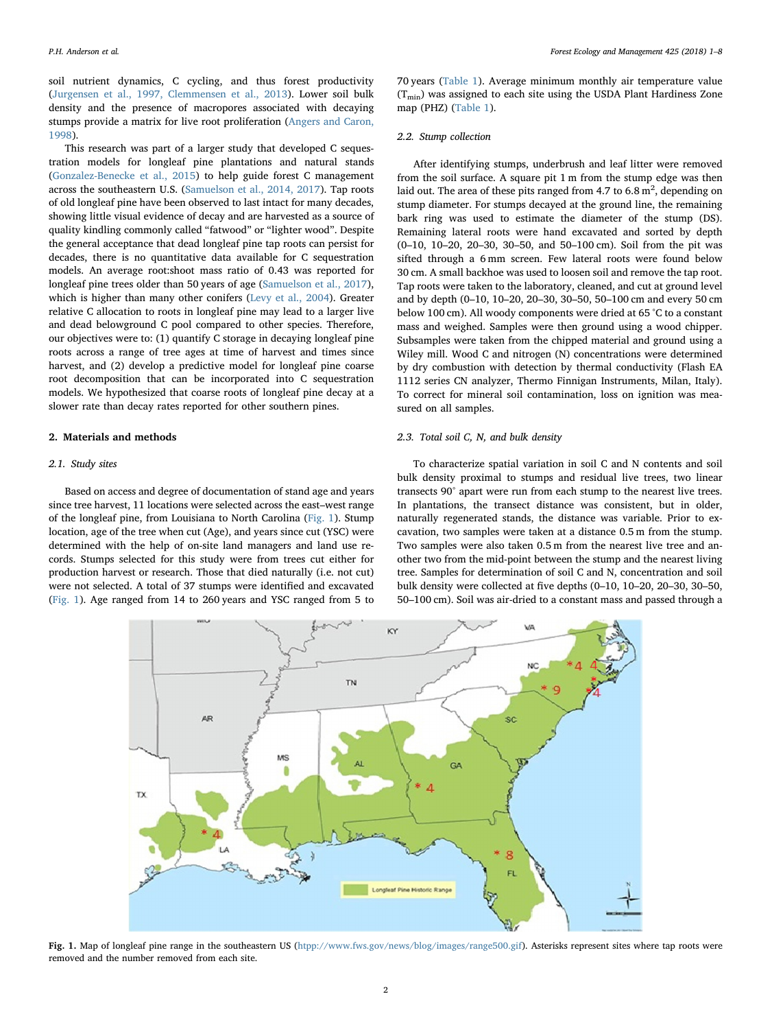soil nutrient dynamics, C cycling, and thus forest productivity ([Jurgensen et al., 1997, Clemmensen et al., 2013\)](#page-6-7). Lower soil bulk density and the presence of macropores associated with decaying stumps provide a matrix for live root proliferation ([Angers and Caron,](#page-6-8) [1998\)](#page-6-8).

This research was part of a larger study that developed C sequestration models for longleaf pine plantations and natural stands ([Gonzalez-Benecke et al., 2015\)](#page-6-9) to help guide forest C management across the southeastern U.S. [\(Samuelson et al., 2014, 2017](#page-6-0)). Tap roots of old longleaf pine have been observed to last intact for many decades, showing little visual evidence of decay and are harvested as a source of quality kindling commonly called "fatwood" or "lighter wood". Despite the general acceptance that dead longleaf pine tap roots can persist for decades, there is no quantitative data available for C sequestration models. An average root:shoot mass ratio of 0.43 was reported for longleaf pine trees older than 50 years of age ([Samuelson et al., 2017](#page-6-10)), which is higher than many other conifers [\(Levy et al., 2004](#page-6-11)). Greater relative C allocation to roots in longleaf pine may lead to a larger live and dead belowground C pool compared to other species. Therefore, our objectives were to: (1) quantify C storage in decaying longleaf pine roots across a range of tree ages at time of harvest and times since harvest, and (2) develop a predictive model for longleaf pine coarse root decomposition that can be incorporated into C sequestration models. We hypothesized that coarse roots of longleaf pine decay at a slower rate than decay rates reported for other southern pines.

# 2. Materials and methods

# 2.1. Study sites

Based on access and degree of documentation of stand age and years since tree harvest, 11 locations were selected across the east–west range of the longleaf pine, from Louisiana to North Carolina ([Fig. 1](#page-1-0)). Stump location, age of the tree when cut (Age), and years since cut (YSC) were determined with the help of on-site land managers and land use records. Stumps selected for this study were from trees cut either for production harvest or research. Those that died naturally (i.e. not cut) were not selected. A total of 37 stumps were identified and excavated ([Fig. 1](#page-1-0)). Age ranged from 14 to 260 years and YSC ranged from 5 to

70 years ([Table 1](#page-2-0)). Average minimum monthly air temperature value  $(T_{min})$  was assigned to each site using the USDA Plant Hardiness Zone map (PHZ) [\(Table 1\)](#page-2-0).

## 2.2. Stump collection

After identifying stumps, underbrush and leaf litter were removed from the soil surface. A square pit 1 m from the stump edge was then laid out. The area of these pits ranged from 4.7 to 6.8  $m^2$ , depending on stump diameter. For stumps decayed at the ground line, the remaining bark ring was used to estimate the diameter of the stump (DS). Remaining lateral roots were hand excavated and sorted by depth (0–10, 10–20, 20–30, 30–50, and 50–100 cm). Soil from the pit was sifted through a 6 mm screen. Few lateral roots were found below 30 cm. A small backhoe was used to loosen soil and remove the tap root. Tap roots were taken to the laboratory, cleaned, and cut at ground level and by depth (0–10, 10–20, 20–30, 30–50, 50–100 cm and every 50 cm below 100 cm). All woody components were dried at 65 °C to a constant mass and weighed. Samples were then ground using a wood chipper. Subsamples were taken from the chipped material and ground using a Wiley mill. Wood C and nitrogen (N) concentrations were determined by dry combustion with detection by thermal conductivity (Flash EA 1112 series CN analyzer, Thermo Finnigan Instruments, Milan, Italy). To correct for mineral soil contamination, loss on ignition was measured on all samples.

# 2.3. Total soil C, N, and bulk density

To characterize spatial variation in soil C and N contents and soil bulk density proximal to stumps and residual live trees, two linear transects 90° apart were run from each stump to the nearest live trees. In plantations, the transect distance was consistent, but in older, naturally regenerated stands, the distance was variable. Prior to excavation, two samples were taken at a distance 0.5 m from the stump. Two samples were also taken 0.5 m from the nearest live tree and another two from the mid-point between the stump and the nearest living tree. Samples for determination of soil C and N, concentration and soil bulk density were collected at five depths (0–10, 10–20, 20–30, 30–50, 50–100 cm). Soil was air-dried to a constant mass and passed through a

<span id="page-1-0"></span>

Fig. 1. Map of longleaf pine range in the southeastern US ([htpp://www.fws.gov/news/blog/images/range500.gif\)](http://htpp://www.fws.gov/news/blog/images/range500.gif). Asterisks represent sites where tap roots were removed and the number removed from each site.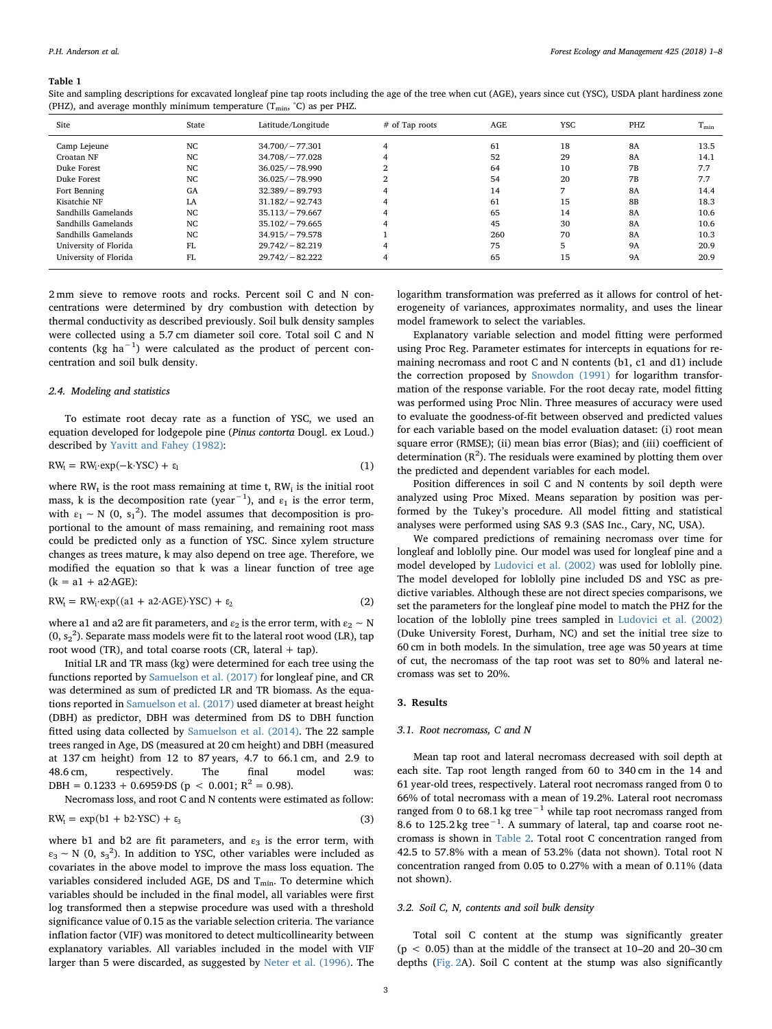#### <span id="page-2-0"></span>Table 1

Site and sampling descriptions for excavated longleaf pine tap roots including the age of the tree when cut (AGE), years since cut (YSC), USDA plant hardiness zone (PHZ), and average monthly minimum temperature  $(T_{\text{min}}, C)$  as per PHZ.

| Site                  | State | Latitude/Longitude | $#$ of Tap roots | AGE | YSC | PHZ       | $T_{\rm min}$ |
|-----------------------|-------|--------------------|------------------|-----|-----|-----------|---------------|
| Camp Lejeune          | NC    | $34.700/-77.301$   |                  | 61  | 18  | <b>8A</b> | 13.5          |
| Croatan NF            | NC.   | $34.708/-77.028$   |                  | 52  | 29  | <b>8A</b> | 14.1          |
| Duke Forest           | NC.   | $36.025/-78.990$   | ົ                | 64  | 10  | <b>7B</b> | 7.7           |
| Duke Forest           | NC.   | $36.025/-78.990$   |                  | 54  | 20  | <b>7B</b> | 7.7           |
| Fort Benning          | GA    | $32.389/-89.793$   | 4                | 14  |     | <b>8A</b> | 14.4          |
| Kisatchie NF          | LA    | $31.182/-92.743$   |                  | 61  | 15  | <b>8B</b> | 18.3          |
| Sandhills Gamelands   | NC.   | $35.113/-79.667$   |                  | 65  | 14  | <b>8A</b> | 10.6          |
| Sandhills Gamelands   | NC.   | $35.102/-79.665$   | 4                | 45  | 30  | <b>8A</b> | 10.6          |
| Sandhills Gamelands   | NC.   | $34.915/-79.578$   |                  | 260 | 70  | <b>8A</b> | 10.3          |
| University of Florida | FL.   | $29.742/-82.219$   |                  | 75  | 5   | <b>9A</b> | 20.9          |
| University of Florida | FL    | $29.742/-82.222$   | 4                | 65  | 15  | <b>9A</b> | 20.9          |

2 mm sieve to remove roots and rocks. Percent soil C and N concentrations were determined by dry combustion with detection by thermal conductivity as described previously. Soil bulk density samples were collected using a 5.7 cm diameter soil core. Total soil C and N contents (kg ha−<sup>1</sup> ) were calculated as the product of percent concentration and soil bulk density.

# 2.4. Modeling and statistics

To estimate root decay rate as a function of YSC, we used an equation developed for lodgepole pine (Pinus contorta Dougl. ex Loud.) described by [Yavitt and Fahey \(1982\)](#page-7-3):

$$
RW_t = RW_t \cdot exp(-k \cdot YSC) + \epsilon_1
$$
 (1)

where  $RW_t$  is the root mass remaining at time t,  $RW_i$  is the initial root mass, k is the decomposition rate (year<sup>-1</sup>), and  $\varepsilon_1$  is the error term, with  $\varepsilon_1 \sim N$  (0,  $s_1^2$ ). The model assumes that decomposition is proportional to the amount of mass remaining, and remaining root mass could be predicted only as a function of YSC. Since xylem structure changes as trees mature, k may also depend on tree age. Therefore, we modified the equation so that k was a linear function of tree age  $(k = a1 + a2 \cdot AGE)$ :

$$
RW_{t} = RW_{t}·exp((a1 + a2 \cdot AGE) \cdot YSC) + \varepsilon_{2}
$$
\n(2)

where a1 and a2 are fit parameters, and  $\varepsilon_2$  is the error term, with  $\varepsilon_2 \sim N$ (0,  $s_2^2$ ). Separate mass models were fit to the lateral root wood (LR), tap root wood (TR), and total coarse roots (CR, lateral + tap).

Initial LR and TR mass (kg) were determined for each tree using the functions reported by [Samuelson et al. \(2017\)](#page-6-10) for longleaf pine, and CR was determined as sum of predicted LR and TR biomass. As the equations reported in [Samuelson et al. \(2017\)](#page-6-10) used diameter at breast height (DBH) as predictor, DBH was determined from DS to DBH function fitted using data collected by [Samuelson et al. \(2014\).](#page-6-0) The 22 sample trees ranged in Age, DS (measured at 20 cm height) and DBH (measured at 137 cm height) from 12 to 87 years, 4.7 to 66.1 cm, and 2.9 to 48.6 cm, respectively. The final model was: DBH =  $0.1233 + 0.6959$  DS ( $p < 0.001$ ;  $R^2 = 0.98$ ).

Necromass loss, and root C and N contents were estimated as follow:

$$
RW_{t} = \exp(b1 + b2 \cdot YSC) + \varepsilon_{3}
$$
 (3)

where b1 and b2 are fit parameters, and  $\varepsilon_3$  is the error term, with  $\varepsilon_3$  ~ N (0, s<sub>3</sub><sup>2</sup>). In addition to YSC, other variables were included as covariates in the above model to improve the mass loss equation. The variables considered included AGE, DS and  $T_{min}$ . To determine which variables should be included in the final model, all variables were first log transformed then a stepwise procedure was used with a threshold significance value of 0.15 as the variable selection criteria. The variance inflation factor (VIF) was monitored to detect multicollinearity between explanatory variables. All variables included in the model with VIF larger than 5 were discarded, as suggested by [Neter et al. \(1996\)](#page-6-12). The

logarithm transformation was preferred as it allows for control of heterogeneity of variances, approximates normality, and uses the linear model framework to select the variables.

Explanatory variable selection and model fitting were performed using Proc Reg. Parameter estimates for intercepts in equations for remaining necromass and root C and N contents (b1, c1 and d1) include the correction proposed by [Snowdon \(1991\)](#page-7-4) for logarithm transformation of the response variable. For the root decay rate, model fitting was performed using Proc Nlin. Three measures of accuracy were used to evaluate the goodness-of-fit between observed and predicted values for each variable based on the model evaluation dataset: (i) root mean square error (RMSE); (ii) mean bias error (Bias); and (iii) coefficient of determination  $(R^2)$ . The residuals were examined by plotting them over the predicted and dependent variables for each model.

Position differences in soil C and N contents by soil depth were analyzed using Proc Mixed. Means separation by position was performed by the Tukey's procedure. All model fitting and statistical analyses were performed using SAS 9.3 (SAS Inc., Cary, NC, USA).

We compared predictions of remaining necromass over time for longleaf and loblolly pine. Our model was used for longleaf pine and a model developed by [Ludovici et al. \(2002\)](#page-6-4) was used for loblolly pine. The model developed for loblolly pine included DS and YSC as predictive variables. Although these are not direct species comparisons, we set the parameters for the longleaf pine model to match the PHZ for the location of the loblolly pine trees sampled in [Ludovici et al. \(2002\)](#page-6-4) (Duke University Forest, Durham, NC) and set the initial tree size to 60 cm in both models. In the simulation, tree age was 50 years at time of cut, the necromass of the tap root was set to 80% and lateral necromass was set to 20%.

#### 3. Results

# 3.1. Root necromass, C and N

Mean tap root and lateral necromass decreased with soil depth at each site. Tap root length ranged from 60 to 340 cm in the 14 and 61 year-old trees, respectively. Lateral root necromass ranged from 0 to 66% of total necromass with a mean of 19.2%. Lateral root necromass ranged from 0 to 68.1 kg tree<sup>-1</sup> while tap root necromass ranged from 8.6 to 125.2 kg tree<sup>-1</sup>. A summary of lateral, tap and coarse root necromass is shown in [Table 2.](#page-3-0) Total root C concentration ranged from 42.5 to 57.8% with a mean of 53.2% (data not shown). Total root N concentration ranged from 0.05 to 0.27% with a mean of 0.11% (data not shown).

#### 3.2. Soil C, N, contents and soil bulk density

Total soil C content at the stump was significantly greater  $(p < 0.05)$  than at the middle of the transect at 10–20 and 20–30 cm depths ([Fig. 2](#page-3-1)A). Soil C content at the stump was also significantly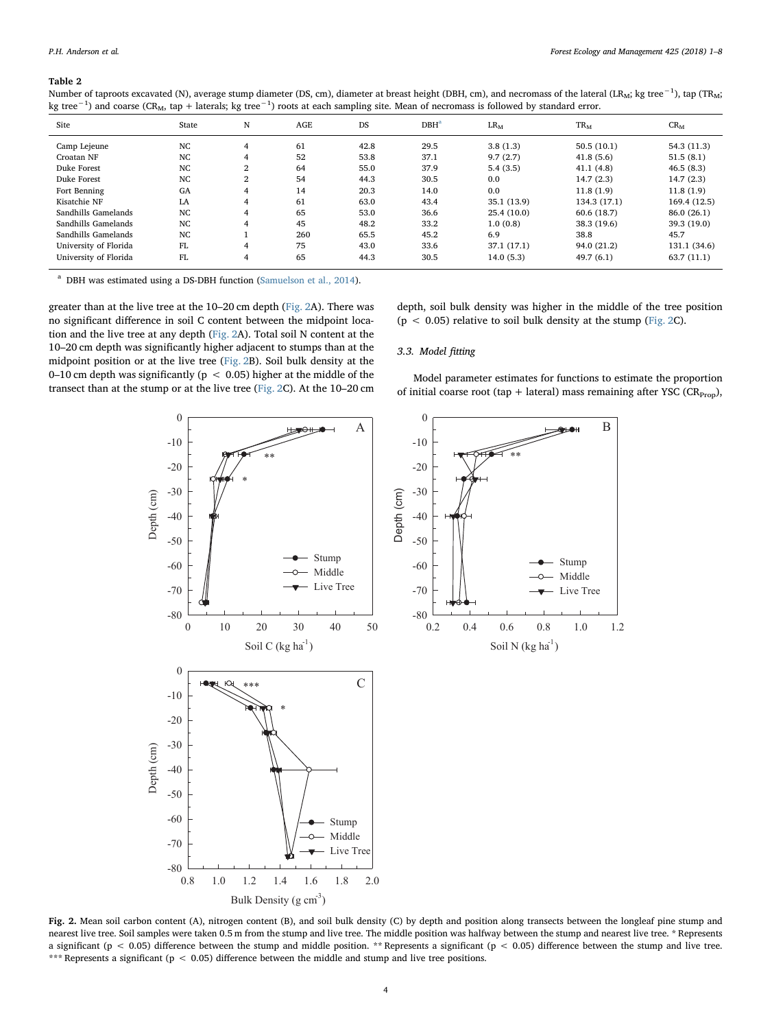#### <span id="page-3-0"></span>Table 2

| Site                  | State | N              | <b>AGE</b> | DS   | $DBH^a$ | $LR_M$      | $TR_M$       | $CR_{M}$     |
|-----------------------|-------|----------------|------------|------|---------|-------------|--------------|--------------|
| Camp Lejeune          | NC.   | 4              | 61         | 42.8 | 29.5    | 3.8(1.3)    | 50.5(10.1)   | 54.3 (11.3)  |
| Croatan NF            | NC    | 4              | 52         | 53.8 | 37.1    | 9.7(2.7)    | 41.8(5.6)    | 51.5(8.1)    |
| Duke Forest           | NC    | $\overline{2}$ | 64         | 55.0 | 37.9    | 5.4(3.5)    | 41.1(4.8)    | 46.5(8.3)    |
| Duke Forest           | NC.   | $\overline{2}$ | 54         | 44.3 | 30.5    | 0.0         | 14.7(2.3)    | 14.7(2.3)    |
| Fort Benning          | GA    | 4              | 14         | 20.3 | 14.0    | 0.0         | 11.8(1.9)    | 11.8(1.9)    |
| Kisatchie NF          | LA    | 4              | 61         | 63.0 | 43.4    | 35.1 (13.9) | 134.3 (17.1) | 169.4 (12.5) |
| Sandhills Gamelands   | NC    | 4              | 65         | 53.0 | 36.6    | 25.4(10.0)  | 60.6 (18.7)  | 86.0 (26.1)  |
| Sandhills Gamelands   | NC    | 4              | 45         | 48.2 | 33.2    | 1.0(0.8)    | 38.3 (19.6)  | 39.3 (19.0)  |
| Sandhills Gamelands   | NC.   |                | 260        | 65.5 | 45.2    | 6.9         | 38.8         | 45.7         |
| University of Florida | FL.   | 4              | 75         | 43.0 | 33.6    | 37.1 (17.1) | 94.0 (21.2)  | 131.1 (34.6) |
| University of Florida | FL.   | 4              | 65         | 44.3 | 30.5    | 14.0(5.3)   | 49.7(6.1)    | 63.7(11.1)   |

Number of taproots excavated (N), average stump diameter (DS, cm), diameter at breast height (DBH, cm), and necromass of the lateral (LR<sub>M</sub>; kg tree $^{-1}$ ), tap (TR $_{\rm Mi}$ kg tree<sup>−1</sup>) and coarse (CR<sub>M</sub>, tap + laterals; kg tree<sup>−1</sup>) roots at each sampling site. Mean of necromass is followed by standard error.

<span id="page-3-2"></span><sup>a</sup> DBH was estimated using a DS-DBH function ([Samuelson et al., 2014](#page-6-0)).

greater than at the live tree at the 10–20 cm depth ([Fig. 2A](#page-3-1)). There was no significant difference in soil C content between the midpoint location and the live tree at any depth ([Fig. 2](#page-3-1)A). Total soil N content at the 10–20 cm depth was significantly higher adjacent to stumps than at the midpoint position or at the live tree ([Fig. 2](#page-3-1)B). Soil bulk density at the 0–10 cm depth was significantly ( $p < 0.05$ ) higher at the middle of the transect than at the stump or at the live tree [\(Fig. 2](#page-3-1)C). At the 10–20 cm depth, soil bulk density was higher in the middle of the tree position ( $p < 0.05$ ) relative to soil bulk density at the stump ([Fig. 2C](#page-3-1)).

# 3.3. Model fitting

Model parameter estimates for functions to estimate the proportion of initial coarse root (tap + lateral) mass remaining after YSC ( $CR_{Prop}$ ),

> Stump Middle Live Tree

Soil N (kg  $ha^{-1}$ )

\*\*

<span id="page-3-1"></span>

Fig. 2. Mean soil carbon content (A), nitrogen content (B), and soil bulk density (C) by depth and position along transects between the longleaf pine stump and nearest live tree. Soil samples were taken 0.5 m from the stump and live tree. The middle position was halfway between the stump and nearest live tree. \* Represents a significant ( $p < 0.05$ ) difference between the stump and middle position. \*\* Represents a significant ( $p < 0.05$ ) difference between the stump and live tree. \*\*\* Represents a significant (p < 0.05) difference between the middle and stump and live tree positions.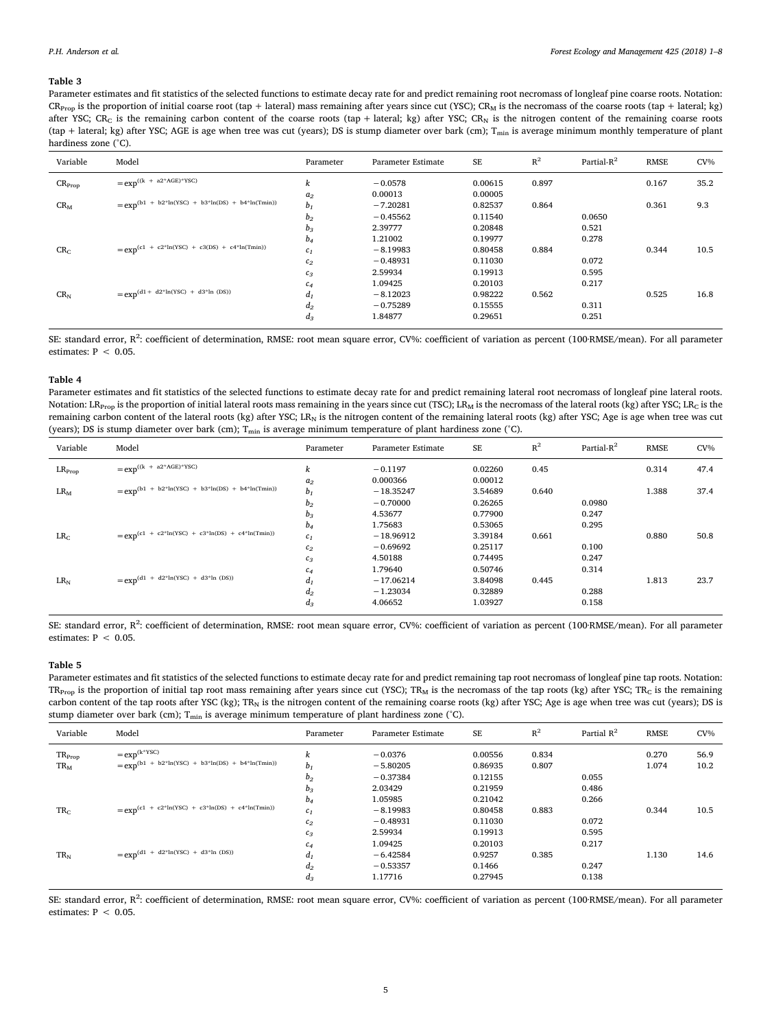#### <span id="page-4-0"></span>Table 3

Parameter estimates and fit statistics of the selected functions to estimate decay rate for and predict remaining root necromass of longleaf pine coarse roots. Notation:  $CR_{\text{Pron}}$  is the proportion of initial coarse root (tap + lateral) mass remaining after years since cut (YSC);  $CR_M$  is the necromass of the coarse roots (tap + lateral; kg) after YSC; CR<sub>C</sub> is the remaining carbon content of the coarse roots (tap + lateral; kg) after YSC; CR<sub>N</sub> is the nitrogen content of the remaining coarse roots (tap + lateral; kg) after YSC; AGE is age when tree was cut (years); DS is stump diameter over bark (cm);  $T_{min}$  is average minimum monthly temperature of plant hardiness zone (°C).

| Variable        | Model                                                  | Parameter      | Parameter Estimate | SE      | $R^2$ | Partial- $R^2$ | <b>RMSE</b> | $CV\%$ |
|-----------------|--------------------------------------------------------|----------------|--------------------|---------|-------|----------------|-------------|--------|
| $CR_{Prop}$     | $= exp^{((k + a2 * AGE) * YSC)}$                       | k              | $-0.0578$          | 0.00615 | 0.897 |                | 0.167       | 35.2   |
|                 |                                                        | a <sub>2</sub> | 0.00013            | 0.00005 |       |                |             |        |
| $CR_{M}$        | $= exp^{(b1 + b2*ln(YSC) + b3*ln(DS) + b4*ln(Tmin))}$  | $b_1$          | $-7.20281$         | 0.82537 | 0.864 |                | 0.361       | 9.3    |
|                 |                                                        | $b_2$          | $-0.45562$         | 0.11540 |       | 0.0650         |             |        |
|                 |                                                        | $b_3$          | 2.39777            | 0.20848 |       | 0.521          |             |        |
|                 |                                                        | $b_4$          | 1.21002            | 0.19977 |       | 0.278          |             |        |
| CR <sub>C</sub> | $= exp^{(c1 + c2 * ln(YSC) + c3(DS) + c4 * ln(Tmin))}$ | c <sub>1</sub> | $-8.19983$         | 0.80458 | 0.884 |                | 0.344       | 10.5   |
|                 |                                                        | $c_2$          | $-0.48931$         | 0.11030 |       | 0.072          |             |        |
|                 |                                                        | $c_3$          | 2.59934            | 0.19913 |       | 0.595          |             |        |
|                 |                                                        | c <sub>4</sub> | 1.09425            | 0.20103 |       | 0.217          |             |        |
| $CR_{N}$        | = $\exp^{(d1 + d2 * ln(YSC) + d3 * ln (DS))}$          | $d_1$          | $-8.12023$         | 0.98222 | 0.562 |                | 0.525       | 16.8   |
|                 |                                                        | $d_2$          | $-0.75289$         | 0.15555 |       | 0.311          |             |        |
|                 |                                                        | $d_3$          | 1.84877            | 0.29651 |       | 0.251          |             |        |
|                 |                                                        |                |                    |         |       |                |             |        |

SE: standard error, R<sup>2</sup>: coefficient of determination, RMSE: root mean square error, CV%: coefficient of variation as percent (100∙RMSE/mean). For all parameter estimates:  $P < 0.05$ .

#### <span id="page-4-1"></span>Table 4

Parameter estimates and fit statistics of the selected functions to estimate decay rate for and predict remaining lateral root necromass of longleaf pine lateral roots. Notation: LR<sub>Prop</sub> is the proportion of initial lateral roots mass remaining in the years since cut (TSC); LR<sub>M</sub> is the necromass of the lateral roots (kg) after YSC; LR<sub>C</sub> is the remaining carbon content of the lateral roots (kg) after YSC; LR<sub>N</sub> is the nitrogen content of the remaining lateral roots (kg) after YSC; Age is age when tree was cut (years); DS is stump diameter over bark (cm);  $T_{min}$  is average minimum temperature of plant hardiness zone (°C).

| Variable        | Model                                                       | Parameter      | Parameter Estimate | SE      | $\rm R^2$ | Partial-R <sup>2</sup> | <b>RMSE</b> | $CV\%$ |
|-----------------|-------------------------------------------------------------|----------------|--------------------|---------|-----------|------------------------|-------------|--------|
| $LR_{Prop}$     | $= exp^{((k + a2 * AGE) * YSC)}$                            | k              | $-0.1197$          | 0.02260 | 0.45      |                        | 0.314       | 47.4   |
|                 |                                                             | a <sub>2</sub> | 0.000366           | 0.00012 |           |                        |             |        |
| $LR_M$          | $= exp^{(b1 + b2 * ln(YSC) + b3 * ln(DS) + b4 * ln(Tmin))}$ | $b_1$          | $-18.35247$        | 3.54689 | 0.640     |                        | 1.388       | 37.4   |
|                 |                                                             | $b_2$          | $-0.70000$         | 0.26265 |           | 0.0980                 |             |        |
|                 |                                                             | $b_3$          | 4.53677            | 0.77900 |           | 0.247                  |             |        |
|                 |                                                             | $b_4$          | 1.75683            | 0.53065 |           | 0.295                  |             |        |
| LR <sub>C</sub> | = $exp^{(c1 + c2 * ln(YSC) + c3 * ln(DS) + c4 * ln(Tmin))}$ | $c_1$          | $-18.96912$        | 3.39184 | 0.661     |                        | 0.880       | 50.8   |
|                 |                                                             | $c_2$          | $-0.69692$         | 0.25117 |           | 0.100                  |             |        |
|                 |                                                             | $c_3$          | 4.50188            | 0.74495 |           | 0.247                  |             |        |
|                 |                                                             | $c_4$          | 1.79640            | 0.50746 |           | 0.314                  |             |        |
| $LR_N$          | $= exp^{(d1 + d2 * ln(YSC) + d3 * ln (DS))}$                | $d_1$          | $-17.06214$        | 3.84098 | 0.445     |                        | 1.813       | 23.7   |
|                 |                                                             | $d_2$          | $-1.23034$         | 0.32889 |           | 0.288                  |             |        |
|                 |                                                             | $d_3$          | 4.06652            | 1.03927 |           | 0.158                  |             |        |

SE: standard error, R<sup>2</sup>: coefficient of determination, RMSE: root mean square error, CV%: coefficient of variation as percent (100∙RMSE/mean). For all parameter estimates:  $P < 0.05$ .

## <span id="page-4-2"></span>Table 5

Parameter estimates and fit statistics of the selected functions to estimate decay rate for and predict remaining tap root necromass of longleaf pine tap roots. Notation:  $TR_{\text{Proo}}$  is the proportion of initial tap root mass remaining after years since cut (YSC); TR<sub>M</sub> is the necromass of the tap roots (kg) after YSC; TR<sub>C</sub> is the remaining carbon content of the tap roots after YSC (kg); TR<sub>N</sub> is the nitrogen content of the remaining coarse roots (kg) after YSC; Age is age when tree was cut (years); DS is stump diameter over bark (cm);  $T_{min}$  is average minimum temperature of plant hardiness zone (°C).

| Variable        | Model                                                       | Parameter | Parameter Estimate | SE      | $R^2$ | Partial $R^2$ | <b>RMSE</b> | $CV\%$ |
|-----------------|-------------------------------------------------------------|-----------|--------------------|---------|-------|---------------|-------------|--------|
| $TR_{Prop}$     | $=$ exp <sup>(k*YSC)</sup>                                  | k         | $-0.0376$          | 0.00556 | 0.834 |               | 0.270       | 56.9   |
| $TR_M$          | $= exp^{(b1 + b2 * ln(YSC) + b3 * ln(DS) + b4 * ln(Tmin))}$ | $b_1$     | $-5.80205$         | 0.86935 | 0.807 |               | 1.074       | 10.2   |
|                 |                                                             | $b_2$     | $-0.37384$         | 0.12155 |       | 0.055         |             |        |
|                 |                                                             | $b_3$     | 2.03429            | 0.21959 |       | 0.486         |             |        |
|                 |                                                             | $b_4$     | 1.05985            | 0.21042 |       | 0.266         |             |        |
| TR <sub>C</sub> | $= exp^{(c1 + c2 * ln(YSC) + c3 * ln(DS) + c4 * ln(Tmin))}$ | $c_1$     | $-8.19983$         | 0.80458 | 0.883 |               | 0.344       | 10.5   |
|                 |                                                             | $c_2$     | $-0.48931$         | 0.11030 |       | 0.072         |             |        |
|                 |                                                             | $c_3$     | 2.59934            | 0.19913 |       | 0.595         |             |        |
|                 |                                                             | $c_4$     | 1.09425            | 0.20103 |       | 0.217         |             |        |
| $TR_N$          | $= exp^{(d1 + d2 * ln(YSC) + d3 * ln (DS))}$                | $d_1$     | $-6.42584$         | 0.9257  | 0.385 |               | 1.130       | 14.6   |
|                 |                                                             | $d_2$     | $-0.53357$         | 0.1466  |       | 0.247         |             |        |
|                 |                                                             | $d_3$     | 1.17716            | 0.27945 |       | 0.138         |             |        |

SE: standard error, R<sup>2</sup>: coefficient of determination, RMSE: root mean square error, CV%: coefficient of variation as percent (100∙RMSE/mean). For all parameter estimates:  $P < 0.05$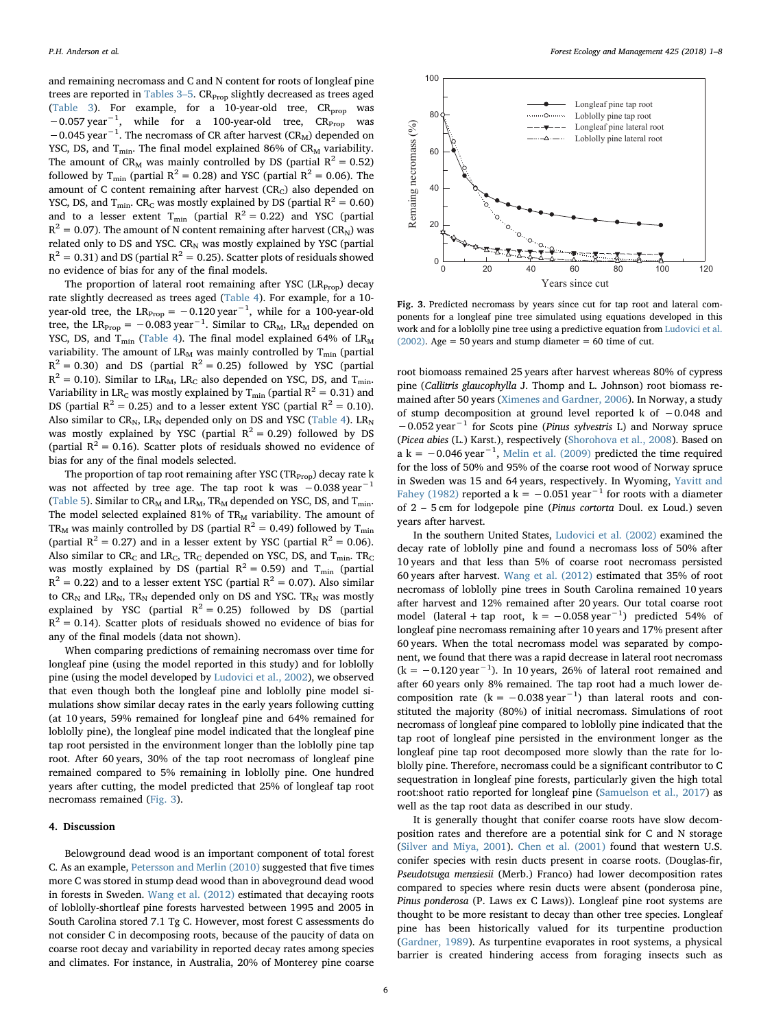and remaining necromass and C and N content for roots of longleaf pine trees are reported in [Tables 3](#page-4-0)-5. CR<sub>Prop</sub> slightly decreased as trees aged ([Table 3](#page-4-0)). For example, for a 10-year-old tree,  $CR_{prop}$  was −0.057 year<sup>-1</sup>, while for a 100-year-old tree, CR<sub>Prop</sub> was −0.045 year<sup>-1</sup>. The necromass of CR after harvest (CR<sub>M</sub>) depended on YSC, DS, and  $T_{min}$ . The final model explained 86% of  $CR_M$  variability. The amount of CR<sub>M</sub> was mainly controlled by DS (partial  $R^2 = 0.52$ ) followed by T<sub>min</sub> (partial R<sup>2</sup> = 0.28) and YSC (partial R<sup>2</sup> = 0.06). The amount of C content remaining after harvest (CR<sub>C</sub>) also depended on YSC, DS, and T<sub>min</sub>. CR<sub>C</sub> was mostly explained by DS (partial  $R^2 = 0.60$ ) and to a lesser extent T<sub>min</sub> (partial  $R^2 = 0.22$ ) and YSC (partial  $R^2 = 0.07$ ). The amount of N content remaining after harvest (CR<sub>N</sub>) was related only to DS and YSC.  $CR_N$  was mostly explained by YSC (partial  $R^{2} = 0.31$ ) and DS (partial  $R^{2} = 0.25$ ). Scatter plots of residuals showed no evidence of bias for any of the final models.

The proportion of lateral root remaining after YSC  $(LR_{Pron})$  decay rate slightly decreased as trees aged [\(Table 4\)](#page-4-1). For example, for a 10 year-old tree, the LR $_{\mathrm{Prop}}$  =  $-0.120$  year $^{-1}$ , while for a 100-year-old tree, the LR<sub>Prop</sub> =  $-0.083 \text{ year}^{-1}$ . Similar to CR<sub>M</sub>, LR<sub>M</sub> depended on YSC, DS, and  $T_{\text{min}}$  [\(Table 4\)](#page-4-1). The final model explained 64% of  $LR_M$ variability. The amount of  $LR_M$  was mainly controlled by  $T_{min}$  (partial  $R<sup>2</sup> = 0.30$ ) and DS (partial  $R<sup>2</sup> = 0.25$ ) followed by YSC (partial  $R^2 = 0.10$ ). Similar to LR<sub>M</sub>, LR<sub>C</sub> also depended on YSC, DS, and T<sub>min</sub>. Variability in LR<sub>C</sub> was mostly explained by T<sub>min</sub> (partial  $R^2 = 0.31$ ) and DS (partial  $R^2 = 0.25$ ) and to a lesser extent YSC (partial  $R^2 = 0.10$ ). Also similar to  $CR_N$ , LR<sub>N</sub> depended only on DS and YSC ([Table 4](#page-4-1)). LR<sub>N</sub> was mostly explained by YSC (partial  $R^2 = 0.29$ ) followed by DS (partial  $R^2 = 0.16$ ). Scatter plots of residuals showed no evidence of bias for any of the final models selected.

The proportion of tap root remaining after YSC (TR<sub>Prop</sub>) decay rate k was not affected by tree age. The tap root k was -0.038 year<sup>-1</sup> ([Table 5\)](#page-4-2). Similar to  $CR_M$  and  $LR_M$ ,  $TR_M$  depended on YSC, DS, and  $T_{min}$ . The model selected explained 81% of  $TR_M$  variability. The amount of TR<sub>M</sub> was mainly controlled by DS (partial  $R^2 = 0.49$ ) followed by T<sub>min</sub> (partial  $R^2 = 0.27$ ) and in a lesser extent by YSC (partial  $R^2 = 0.06$ ). Also similar to  $CR_C$  and  $LR_C$ ,  $TR_C$  depended on YSC, DS, and  $T_{min}$ . TR<sub>C</sub> was mostly explained by DS (partial  $R^2 = 0.59$ ) and T<sub>min</sub> (partial  $R<sup>2</sup> = 0.22$ ) and to a lesser extent YSC (partial  $R<sup>2</sup> = 0.07$ ). Also similar to  $CR_N$  and  $LR_N$ ,  $TR_N$  depended only on DS and YSC.  $TR_N$  was mostly explained by YSC (partial  $R^2 = 0.25$ ) followed by DS (partial  $R^{2} = 0.14$ ). Scatter plots of residuals showed no evidence of bias for any of the final models (data not shown).

When comparing predictions of remaining necromass over time for longleaf pine (using the model reported in this study) and for loblolly pine (using the model developed by [Ludovici et al., 2002](#page-6-4)), we observed that even though both the longleaf pine and loblolly pine model simulations show similar decay rates in the early years following cutting (at 10 years, 59% remained for longleaf pine and 64% remained for loblolly pine), the longleaf pine model indicated that the longleaf pine tap root persisted in the environment longer than the loblolly pine tap root. After 60 years, 30% of the tap root necromass of longleaf pine remained compared to 5% remaining in loblolly pine. One hundred years after cutting, the model predicted that 25% of longleaf tap root necromass remained ([Fig. 3](#page-5-0)).

## 4. Discussion

Belowground dead wood is an important component of total forest C. As an example, [Petersson and Merlin \(2010\)](#page-6-13) suggested that five times more C was stored in stump dead wood than in aboveground dead wood in forests in Sweden. [Wang et al. \(2012\)](#page-7-1) estimated that decaying roots of loblolly-shortleaf pine forests harvested between 1995 and 2005 in South Carolina stored 7.1 Tg C. However, most forest C assessments do not consider C in decomposing roots, because of the paucity of data on coarse root decay and variability in reported decay rates among species and climates. For instance, in Australia, 20% of Monterey pine coarse

<span id="page-5-0"></span>

Fig. 3. Predicted necromass by years since cut for tap root and lateral components for a longleaf pine tree simulated using equations developed in this work and for a loblolly pine tree using a predictive equation from [Ludovici et al.](#page-6-4) [\(2002\)](#page-6-4). Age =  $50$  years and stump diameter =  $60$  time of cut.

root biomoass remained 25 years after harvest whereas 80% of cypress pine (Callitris glaucophylla J. Thomp and L. Johnson) root biomass remained after 50 years ([Ximenes and Gardner, 2006](#page-7-5)). In Norway, a study of stump decomposition at ground level reported k of −0.048 and −0.052 year−<sup>1</sup> for Scots pine (Pinus sylvestris L) and Norway spruce (Picea abies (L.) Karst.), respectively ([Shorohova et al., 2008\)](#page-6-14). Based on a k =  $-0.046$  year<sup>-1</sup>, [Melin et al. \(2009\)](#page-6-15) predicted the time required for the loss of 50% and 95% of the coarse root wood of Norway spruce in Sweden was 15 and 64 years, respectively. In Wyoming, [Yavitt and](#page-7-3) [Fahey \(1982\)](#page-7-3) reported a k =  $-0.051$  year<sup>-1</sup> for roots with a diameter of 2 – 5 cm for lodgepole pine (Pinus cortorta Doul. ex Loud.) seven years after harvest.

In the southern United States, [Ludovici et al. \(2002\)](#page-6-4) examined the decay rate of loblolly pine and found a necromass loss of 50% after 10 years and that less than 5% of coarse root necromass persisted 60 years after harvest. [Wang et al. \(2012\)](#page-7-1) estimated that 35% of root necromass of loblolly pine trees in South Carolina remained 10 years after harvest and 12% remained after 20 years. Our total coarse root model (lateral + tap root,  $k = -0.058 \text{ year}^{-1}$ ) predicted 54% of longleaf pine necromass remaining after 10 years and 17% present after 60 years. When the total necromass model was separated by component, we found that there was a rapid decrease in lateral root necromass  $(k = −0.120$  year<sup>-1</sup>). In 10 years, 26% of lateral root remained and after 60 years only 8% remained. The tap root had a much lower decomposition rate ( $k = -0.038$  year<sup>-1</sup>) than lateral roots and constituted the majority (80%) of initial necromass. Simulations of root necromass of longleaf pine compared to loblolly pine indicated that the tap root of longleaf pine persisted in the environment longer as the longleaf pine tap root decomposed more slowly than the rate for loblolly pine. Therefore, necromass could be a significant contributor to C sequestration in longleaf pine forests, particularly given the high total root:shoot ratio reported for longleaf pine ([Samuelson et al., 2017\)](#page-6-10) as well as the tap root data as described in our study.

It is generally thought that conifer coarse roots have slow decomposition rates and therefore are a potential sink for C and N storage ([Silver and Miya, 2001](#page-6-16)). [Chen et al. \(2001\)](#page-6-17) found that western U.S. conifer species with resin ducts present in coarse roots. (Douglas-fir, Pseudotsuga menziesii (Merb.) Franco) had lower decomposition rates compared to species where resin ducts were absent (ponderosa pine, Pinus ponderosa (P. Laws ex C Laws)). Longleaf pine root systems are thought to be more resistant to decay than other tree species. Longleaf pine has been historically valued for its turpentine production ([Gardner, 1989\)](#page-6-18). As turpentine evaporates in root systems, a physical barrier is created hindering access from foraging insects such as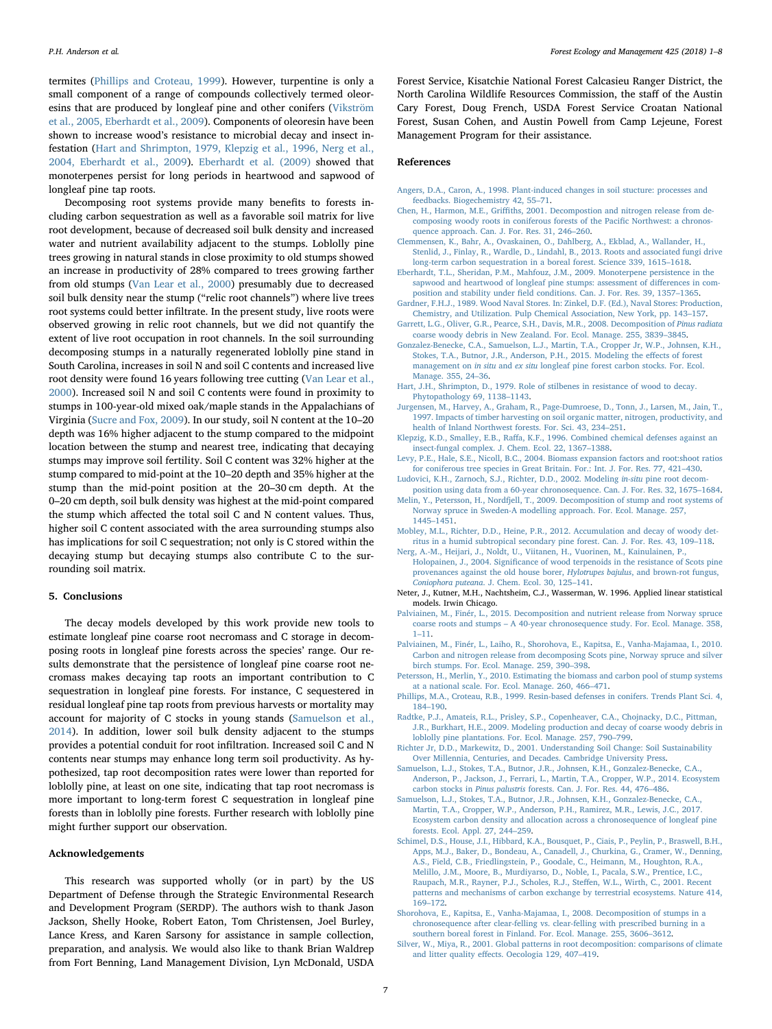termites ([Phillips and Croteau, 1999](#page-6-19)). However, turpentine is only a small component of a range of compounds collectively termed oleoresins that are produced by longleaf pine and other conifers ([Vikström](#page-7-6) [et al., 2005, Eberhardt et al., 2009](#page-7-6)). Components of oleoresin have been shown to increase wood's resistance to microbial decay and insect infestation ([Hart and Shrimpton, 1979, Klepzig et al., 1996, Nerg et al.,](#page-6-20) [2004, Eberhardt et al., 2009](#page-6-20)). [Eberhardt et al. \(2009\)](#page-6-3) showed that monoterpenes persist for long periods in heartwood and sapwood of longleaf pine tap roots.

Decomposing root systems provide many benefits to forests including carbon sequestration as well as a favorable soil matrix for live root development, because of decreased soil bulk density and increased water and nutrient availability adjacent to the stumps. Loblolly pine trees growing in natural stands in close proximity to old stumps showed an increase in productivity of 28% compared to trees growing farther from old stumps [\(Van Lear et al., 2000](#page-7-7)) presumably due to decreased soil bulk density near the stump ("relic root channels") where live trees root systems could better infiltrate. In the present study, live roots were observed growing in relic root channels, but we did not quantify the extent of live root occupation in root channels. In the soil surrounding decomposing stumps in a naturally regenerated loblolly pine stand in South Carolina, increases in soil N and soil C contents and increased live root density were found 16 years following tree cutting ([Van Lear et al.,](#page-7-7) [2000\)](#page-7-7). Increased soil N and soil C contents were found in proximity to stumps in 100-year-old mixed oak/maple stands in the Appalachians of Virginia ([Sucre and Fox, 2009\)](#page-7-0). In our study, soil N content at the 10–20 depth was 16% higher adjacent to the stump compared to the midpoint location between the stump and nearest tree, indicating that decaying stumps may improve soil fertility. Soil C content was 32% higher at the stump compared to mid-point at the 10–20 depth and 35% higher at the stump than the mid-point position at the 20–30 cm depth. At the 0–20 cm depth, soil bulk density was highest at the mid-point compared the stump which affected the total soil C and N content values. Thus, higher soil C content associated with the area surrounding stumps also has implications for soil C sequestration; not only is C stored within the decaying stump but decaying stumps also contribute C to the surrounding soil matrix.

#### 5. Conclusions

The decay models developed by this work provide new tools to estimate longleaf pine coarse root necromass and C storage in decomposing roots in longleaf pine forests across the species' range. Our results demonstrate that the persistence of longleaf pine coarse root necromass makes decaying tap roots an important contribution to C sequestration in longleaf pine forests. For instance, C sequestered in residual longleaf pine tap roots from previous harvests or mortality may account for majority of C stocks in young stands ([Samuelson et al.,](#page-6-0) [2014\)](#page-6-0). In addition, lower soil bulk density adjacent to the stumps provides a potential conduit for root infiltration. Increased soil C and N contents near stumps may enhance long term soil productivity. As hypothesized, tap root decomposition rates were lower than reported for loblolly pine, at least on one site, indicating that tap root necromass is more important to long-term forest C sequestration in longleaf pine forests than in loblolly pine forests. Further research with loblolly pine might further support our observation.

## Acknowledgements

This research was supported wholly (or in part) by the US Department of Defense through the Strategic Environmental Research and Development Program (SERDP). The authors wish to thank Jason Jackson, Shelly Hooke, Robert Eaton, Tom Christensen, Joel Burley, Lance Kress, and Karen Sarsony for assistance in sample collection, preparation, and analysis. We would also like to thank Brian Waldrep from Fort Benning, Land Management Division, Lyn McDonald, USDA

Forest Service, Kisatchie National Forest Calcasieu Ranger District, the North Carolina Wildlife Resources Commission, the staff of the Austin Cary Forest, Doug French, USDA Forest Service Croatan National Forest, Susan Cohen, and Austin Powell from Camp Lejeune, Forest Management Program for their assistance.

#### References

- <span id="page-6-8"></span>[Angers, D.A., Caron, A., 1998. Plant-induced changes in soil stucture: processes and](http://refhub.elsevier.com/S0378-1127(17)32133-3/h0005) [feedbacks. Biogechemistry 42, 55](http://refhub.elsevier.com/S0378-1127(17)32133-3/h0005)–71.
- <span id="page-6-17"></span>Chen, H., Harmon, M.E., Griffi[ths, 2001. Decompostion and nitrogen release from de](http://refhub.elsevier.com/S0378-1127(17)32133-3/h0010)[composing woody roots in coniferous forests of the Paci](http://refhub.elsevier.com/S0378-1127(17)32133-3/h0010)fic Northwest: a chronos[quence approach. Can. J. For. Res. 31, 246](http://refhub.elsevier.com/S0378-1127(17)32133-3/h0010)–260.
- [Clemmensen, K., Bahr, A., Ovaskainen, O., Dahlberg, A., Ekblad, A., Wallander, H.,](http://refhub.elsevier.com/S0378-1127(17)32133-3/h0015) [Stenlid, J., Finlay, R., Wardle, D., Lindahl, B., 2013. Roots and associated fungi drive](http://refhub.elsevier.com/S0378-1127(17)32133-3/h0015) [long-term carbon sequestration in a boreal forest. Science 339, 1615](http://refhub.elsevier.com/S0378-1127(17)32133-3/h0015)–1618.
- <span id="page-6-3"></span>[Eberhardt, T.L., Sheridan, P.M., Mahfouz, J.M., 2009. Monoterpene persistence in the](http://refhub.elsevier.com/S0378-1127(17)32133-3/h0020) [sapwood and heartwood of longleaf pine stumps: assessment of di](http://refhub.elsevier.com/S0378-1127(17)32133-3/h0020)fferences in composition and stability under fi[eld conditions. Can. J. For. Res. 39, 1357](http://refhub.elsevier.com/S0378-1127(17)32133-3/h0020)–1365.
- <span id="page-6-18"></span>[Gardner, F.H.J., 1989. Wood Naval Stores. In: Zinkel, D.F. \(Ed.\), Naval Stores: Production,](http://refhub.elsevier.com/S0378-1127(17)32133-3/h0025) [Chemistry, and Utilization. Pulp Chemical Association, New York, pp. 143](http://refhub.elsevier.com/S0378-1127(17)32133-3/h0025)–157.
- <span id="page-6-5"></span>[Garrett, L.G., Oliver, G.R., Pearce, S.H., Davis, M.R., 2008. Decomposition of](http://refhub.elsevier.com/S0378-1127(17)32133-3/h0030) Pinus radiata [coarse woody debris in New Zealand. For. Ecol. Manage. 255, 3839](http://refhub.elsevier.com/S0378-1127(17)32133-3/h0030)–3845.
- <span id="page-6-9"></span>[Gonzalez-Benecke, C.A., Samuelson, L.J., Martin, T.A., Cropper Jr, W.P., Johnsen, K.H.,](http://refhub.elsevier.com/S0378-1127(17)32133-3/h0035) [Stokes, T.A., Butnor, J.R., Anderson, P.H., 2015. Modeling the e](http://refhub.elsevier.com/S0378-1127(17)32133-3/h0035)ffects of forest management on in situ and ex situ [longleaf pine forest carbon stocks. For. Ecol.](http://refhub.elsevier.com/S0378-1127(17)32133-3/h0035) [Manage. 355, 24](http://refhub.elsevier.com/S0378-1127(17)32133-3/h0035)–36.
- <span id="page-6-20"></span>[Hart, J.H., Shrimpton, D., 1979. Role of stilbenes in resistance of wood to decay.](http://refhub.elsevier.com/S0378-1127(17)32133-3/h0040) [Phytopathology 69, 1138](http://refhub.elsevier.com/S0378-1127(17)32133-3/h0040)–1143.
- <span id="page-6-7"></span>[Jurgensen, M., Harvey, A., Graham, R., Page-Dumroese, D., Tonn, J., Larsen, M., Jain, T.,](http://refhub.elsevier.com/S0378-1127(17)32133-3/h0045) [1997. Impacts of timber harvesting on soil organic matter, nitrogen, productivity, and](http://refhub.elsevier.com/S0378-1127(17)32133-3/h0045) [health of Inland Northwest forests. For. Sci. 43, 234](http://refhub.elsevier.com/S0378-1127(17)32133-3/h0045)–251.
- Klepzig, K.D., Smalley, E.B., Raff[a, K.F., 1996. Combined chemical defenses against an](http://refhub.elsevier.com/S0378-1127(17)32133-3/h0050) [insect-fungal complex. J. Chem. Ecol. 22, 1367](http://refhub.elsevier.com/S0378-1127(17)32133-3/h0050)–1388.
- <span id="page-6-11"></span>[Levy, P.E., Hale, S.E., Nicoll, B.C., 2004. Biomass expansion factors and root:shoot ratios](http://refhub.elsevier.com/S0378-1127(17)32133-3/h0055) [for coniferous tree species in Great Britain. For.: Int. J. For. Res. 77, 421](http://refhub.elsevier.com/S0378-1127(17)32133-3/h0055)–430.
- <span id="page-6-4"></span>[Ludovici, K.H., Zarnoch, S.J., Richter, D.D., 2002. Modeling](http://refhub.elsevier.com/S0378-1127(17)32133-3/h0060) in-situ pine root decom[position using data from a 60-year chronosequence. Can. J. For. Res. 32, 1675](http://refhub.elsevier.com/S0378-1127(17)32133-3/h0060)–1684.
- <span id="page-6-15"></span>[Melin, Y., Petersson, H., Nordfjell, T., 2009. Decomposition of stump and root systems of](http://refhub.elsevier.com/S0378-1127(17)32133-3/h0065) [Norway spruce in Sweden-A modelling approach. For. Ecol. Manage. 257,](http://refhub.elsevier.com/S0378-1127(17)32133-3/h0065) 1445–[1451](http://refhub.elsevier.com/S0378-1127(17)32133-3/h0065).
- [Mobley, M.L., Richter, D.D., Heine, P.R., 2012. Accumulation and decay of woody det](http://refhub.elsevier.com/S0378-1127(17)32133-3/h0070)[ritus in a humid subtropical secondary pine forest. Can. J. For. Res. 43, 109](http://refhub.elsevier.com/S0378-1127(17)32133-3/h0070)–118.
- [Nerg, A.-M., Heijari, J., Noldt, U., Viitanen, H., Vuorinen, M., Kainulainen, P.,](http://refhub.elsevier.com/S0378-1127(17)32133-3/h0075) Holopainen, J., 2004. Signifi[cance of wood terpenoids in the resistance of Scots pine](http://refhub.elsevier.com/S0378-1127(17)32133-3/h0075) [provenances against the old house borer,](http://refhub.elsevier.com/S0378-1127(17)32133-3/h0075) Hylotrupes bajulus, and brown-rot fungus, Coniophora puteana[. J. Chem. Ecol. 30, 125](http://refhub.elsevier.com/S0378-1127(17)32133-3/h0075)–141.
- <span id="page-6-12"></span>Neter, J., Kutner, M.H., Nachtsheim, C.J., Wasserman, W. 1996. Applied linear statistical models. Irwin Chicago.
- [Palviainen, M., Finér, L., 2015. Decomposition and nutrient release from Norway spruce](http://refhub.elsevier.com/S0378-1127(17)32133-3/h0085) coarse roots and stumps – [A 40-year chronosequence study. For. Ecol. Manage. 358,](http://refhub.elsevier.com/S0378-1127(17)32133-3/h0085) 1–[11.](http://refhub.elsevier.com/S0378-1127(17)32133-3/h0085)
- [Palviainen, M., Finér, L., Laiho, R., Shorohova, E., Kapitsa, E., Vanha-Majamaa, I., 2010.](http://refhub.elsevier.com/S0378-1127(17)32133-3/h0090) [Carbon and nitrogen release from decomposing Scots pine, Norway spruce and silver](http://refhub.elsevier.com/S0378-1127(17)32133-3/h0090) [birch stumps. For. Ecol. Manage. 259, 390](http://refhub.elsevier.com/S0378-1127(17)32133-3/h0090)–398.
- <span id="page-6-13"></span>[Petersson, H., Merlin, Y., 2010. Estimating the biomass and carbon pool of stump systems](http://refhub.elsevier.com/S0378-1127(17)32133-3/h0095) [at a national scale. For. Ecol. Manage. 260, 466](http://refhub.elsevier.com/S0378-1127(17)32133-3/h0095)–471.
- <span id="page-6-19"></span>[Phillips, M.A., Croteau, R.B., 1999. Resin-based defenses in conifers. Trends Plant Sci. 4,](http://refhub.elsevier.com/S0378-1127(17)32133-3/h0100) 184–[190](http://refhub.elsevier.com/S0378-1127(17)32133-3/h0100).
- <span id="page-6-1"></span>[Radtke, P.J., Amateis, R.L., Prisley, S.P., Copenheaver, C.A., Chojnacky, D.C., Pittman,](http://refhub.elsevier.com/S0378-1127(17)32133-3/h0105) [J.R., Burkhart, H.E., 2009. Modeling production and decay of coarse woody debris in](http://refhub.elsevier.com/S0378-1127(17)32133-3/h0105) [loblolly pine plantations. For. Ecol. Manage. 257, 790](http://refhub.elsevier.com/S0378-1127(17)32133-3/h0105)–799.
- <span id="page-6-6"></span>[Richter Jr, D.D., Markewitz, D., 2001. Understanding Soil Change: Soil Sustainability](http://refhub.elsevier.com/S0378-1127(17)32133-3/h0110) [Over Millennia, Centuries, and Decades. Cambridge University Press.](http://refhub.elsevier.com/S0378-1127(17)32133-3/h0110)
- <span id="page-6-0"></span>[Samuelson, L.J., Stokes, T.A., Butnor, J.R., Johnsen, K.H., Gonzalez-Benecke, C.A.,](http://refhub.elsevier.com/S0378-1127(17)32133-3/h0115) [Anderson, P., Jackson, J., Ferrari, L., Martin, T.A., Cropper, W.P., 2014. Ecosystem](http://refhub.elsevier.com/S0378-1127(17)32133-3/h0115) carbon stocks in Pinus palustris [forests. Can. J. For. Res. 44, 476](http://refhub.elsevier.com/S0378-1127(17)32133-3/h0115)–486.
- <span id="page-6-10"></span>[Samuelson, L.J., Stokes, T.A., Butnor, J.R., Johnsen, K.H., Gonzalez-Benecke, C.A.,](http://refhub.elsevier.com/S0378-1127(17)32133-3/h0120) [Martin, T.A., Cropper, W.P., Anderson, P.H., Ramirez, M.R., Lewis, J.C., 2017.](http://refhub.elsevier.com/S0378-1127(17)32133-3/h0120) [Ecosystem carbon density and allocation across a chronosequence of longleaf pine](http://refhub.elsevier.com/S0378-1127(17)32133-3/h0120) [forests. Ecol. Appl. 27, 244](http://refhub.elsevier.com/S0378-1127(17)32133-3/h0120)–259.
- <span id="page-6-2"></span>[Schimel, D.S., House, J.I., Hibbard, K.A., Bousquet, P., Ciais, P., Peylin, P., Braswell, B.H.,](http://refhub.elsevier.com/S0378-1127(17)32133-3/h0125) [Apps, M.J., Baker, D., Bondeau, A., Canadell, J., Churkina, G., Cramer, W., Denning,](http://refhub.elsevier.com/S0378-1127(17)32133-3/h0125) [A.S., Field, C.B., Friedlingstein, P., Goodale, C., Heimann, M., Houghton, R.A.,](http://refhub.elsevier.com/S0378-1127(17)32133-3/h0125) [Melillo, J.M., Moore, B., Murdiyarso, D., Noble, I., Pacala, S.W., Prentice, I.C.,](http://refhub.elsevier.com/S0378-1127(17)32133-3/h0125) [Raupach, M.R., Rayner, P.J., Scholes, R.J., Ste](http://refhub.elsevier.com/S0378-1127(17)32133-3/h0125)ffen, W.L., Wirth, C., 2001. Recent [patterns and mechanisms of carbon exchange by terrestrial ecosystems. Nature 414,](http://refhub.elsevier.com/S0378-1127(17)32133-3/h0125) 169–[172](http://refhub.elsevier.com/S0378-1127(17)32133-3/h0125).
- <span id="page-6-14"></span>[Shorohova, E., Kapitsa, E., Vanha-Majamaa, I., 2008. Decomposition of stumps in a](http://refhub.elsevier.com/S0378-1127(17)32133-3/h0130) [chronosequence after clear-felling vs. clear-felling with prescribed burning in a](http://refhub.elsevier.com/S0378-1127(17)32133-3/h0130) [southern boreal forest in Finland. For. Ecol. Manage. 255, 3606](http://refhub.elsevier.com/S0378-1127(17)32133-3/h0130)–3612.
- <span id="page-6-16"></span>[Silver, W., Miya, R., 2001. Global patterns in root decomposition: comparisons of climate](http://refhub.elsevier.com/S0378-1127(17)32133-3/h0135) and litter quality eff[ects. Oecologia 129, 407](http://refhub.elsevier.com/S0378-1127(17)32133-3/h0135)–419.